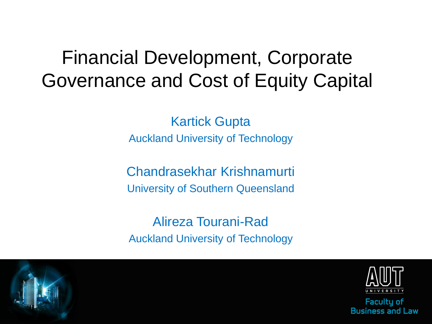### Financial Development, Corporate Governance and Cost of Equity Capital

Kartick Gupta Auckland University of Technology

Chandrasekhar Krishnamurti University of Southern Queensland

Alireza Tourani-Rad Auckland University of Technology



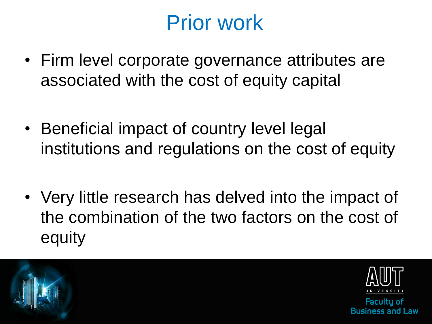# Prior work

- Firm level corporate governance attributes are associated with the cost of equity capital
- Beneficial impact of country level legal institutions and regulations on the cost of equity
- Very little research has delved into the impact of the combination of the two factors on the cost of equity





**Facultu of** acc and l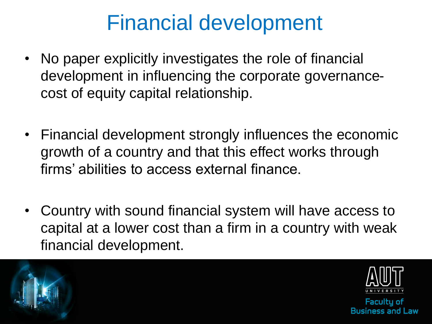# Financial development

- No paper explicitly investigates the role of financial development in influencing the corporate governancecost of equity capital relationship.
- Financial development strongly influences the economic growth of a country and that this effect works through firms' abilities to access external finance.
- Country with sound financial system will have access to capital at a lower cost than a firm in a country with weak financial development.





**Facultu of** we I hoe 22an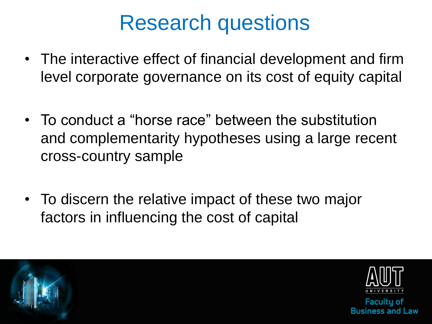## Research questions

- The interactive effect of financial development and firm level corporate governance on its cost of equity capital
- To conduct a "horse race" between the substitution and complementarity hypotheses using a large recent cross-country sample
- To discern the relative impact of these two major factors in influencing the cost of capital





**Facultu of** we I hoe 22a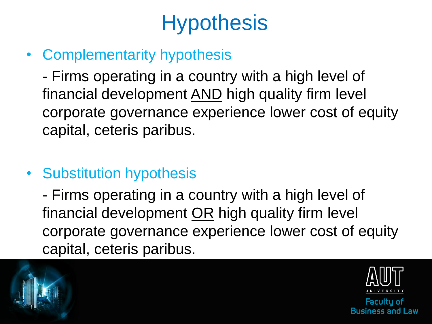# **Hypothesis**

• Complementarity hypothesis

- Firms operating in a country with a high level of financial development AND high quality firm level corporate governance experience lower cost of equity capital, ceteris paribus.

• Substitution hypothesis

- Firms operating in a country with a high level of financial development OR high quality firm level corporate governance experience lower cost of equity capital, ceteris paribus.





**Facultu of** iness and I aw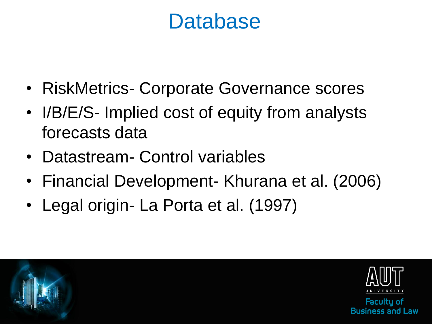### **Database**

- RiskMetrics- Corporate Governance scores
- I/B/E/S- Implied cost of equity from analysts forecasts data
- Datastream- Control variables
- Financial Development- Khurana et al. (2006)
- Legal origin- La Porta et al. (1997)





**Facultu of** we I hoe 22a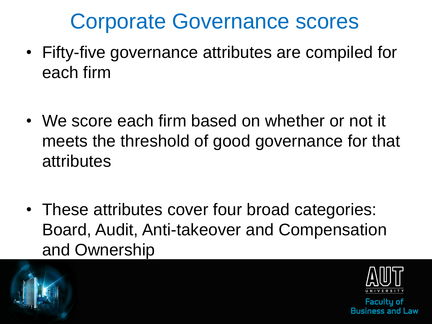# Corporate Governance scores

- Fifty-five governance attributes are compiled for each firm
- We score each firm based on whether or not it meets the threshold of good governance for that attributes
- These attributes cover four broad categories: Board, Audit, Anti-takeover and Compensation and Ownership





**Facultu of**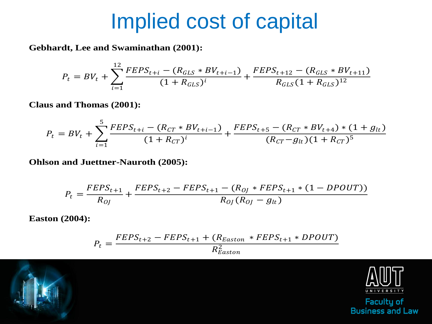### Implied cost of capital

**Gebhardt, Lee and Swaminathan (2001):**

$$
P_t = BV_t + \sum_{i=1}^{12} \frac{FEPS_{t+i} - (R_{GLS} * BV_{t+i-1})}{(1 + R_{GLS})^i} + \frac{FEPS_{t+12} - (R_{GLS} * BV_{t+11})}{R_{GLS}(1 + R_{GLS})^{12}}
$$

**Claus and Thomas (2001):**

$$
P_t = BV_t + \sum_{i=1}^{5} \frac{FEPS_{t+i} - (R_{CT} * BV_{t+i-1})}{(1 + R_{CT})^i} + \frac{FEPS_{t+5} - (R_{CT} * BV_{t+4}) * (1 + g_{lt})}{(R_{CT} - g_{lt})(1 + R_{CT})^5}
$$

**Ohlson and Juettner-Nauroth (2005):**

$$
P_{t} = \frac{FEPS_{t+1}}{R_{0J}} + \frac{FEPS_{t+2} - FEPS_{t+1} - (R_{0J} * FEPS_{t+1} * (1 - DPOUT))}{R_{0J}(R_{0J} - g_{lt})}
$$

**Easton (2004):**

$$
P_t = \frac{FEPS_{t+2} - FEPS_{t+1} + (R_{Easton} * FEPS_{t+1} * DPOUT)}{R_{Easton}^2}
$$

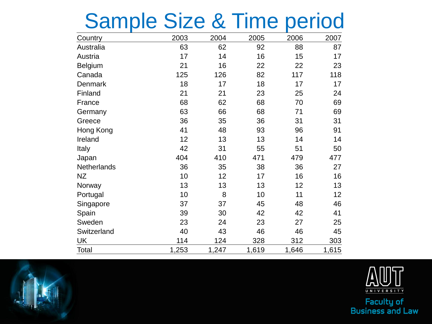# Sample Size & Time period

| Country            | 2003  | 2004  | 2005  | 2006  | 2007  |
|--------------------|-------|-------|-------|-------|-------|
| Australia          | 63    | 62    | 92    | 88    | 87    |
| Austria            | 17    | 14    | 16    | 15    | 17    |
| Belgium            | 21    | 16    | 22    | 22    | 23    |
| Canada             | 125   | 126   | 82    | 117   | 118   |
| Denmark            | 18    | 17    | 18    | 17    | 17    |
| Finland            | 21    | 21    | 23    | 25    | 24    |
| France             | 68    | 62    | 68    | 70    | 69    |
| Germany            | 63    | 66    | 68    | 71    | 69    |
| Greece             | 36    | 35    | 36    | 31    | 31    |
| Hong Kong          | 41    | 48    | 93    | 96    | 91    |
| Ireland            | 12    | 13    | 13    | 14    | 14    |
| <b>Italy</b>       | 42    | 31    | 55    | 51    | 50    |
| Japan              | 404   | 410   | 471   | 479   | 477   |
| <b>Netherlands</b> | 36    | 35    | 38    | 36    | 27    |
| ΝZ                 | 10    | 12    | 17    | 16    | 16    |
| Norway             | 13    | 13    | 13    | 12    | 13    |
| Portugal           | 10    | 8     | 10    | 11    | 12    |
| Singapore          | 37    | 37    | 45    | 48    | 46    |
| Spain              | 39    | 30    | 42    | 42    | 41    |
| Sweden             | 23    | 24    | 23    | 27    | 25    |
| Switzerland        | 40    | 43    | 46    | 46    | 45    |
| UK                 | 114   | 124   | 328   | 312   | 303   |
| Total              | 1,253 | 1,247 | 1,619 | 1,646 | 1,615 |



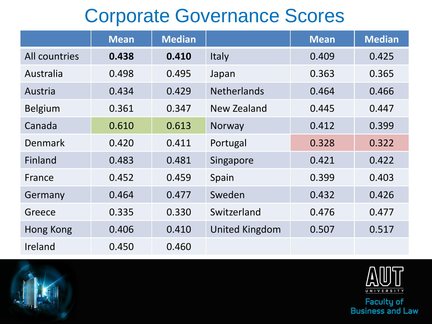### Corporate Governance Scores

|                | <b>Mean</b> | <b>Median</b> |                       | <b>Mean</b> | <b>Median</b> |
|----------------|-------------|---------------|-----------------------|-------------|---------------|
| All countries  | 0.438       | 0.410         | Italy                 | 0.409       | 0.425         |
| Australia      | 0.498       | 0.495         | Japan                 | 0.363       | 0.365         |
| Austria        | 0.434       | 0.429         | <b>Netherlands</b>    | 0.464       | 0.466         |
| <b>Belgium</b> | 0.361       | 0.347         | New Zealand           | 0.445       | 0.447         |
| Canada         | 0.610       | 0.613         | Norway                | 0.412       | 0.399         |
| Denmark        | 0.420       | 0.411         | Portugal              | 0.328       | 0.322         |
| Finland        | 0.483       | 0.481         | Singapore             | 0.421       | 0.422         |
| France         | 0.452       | 0.459         | Spain                 | 0.399       | 0.403         |
| Germany        | 0.464       | 0.477         | Sweden                | 0.432       | 0.426         |
| Greece         | 0.335       | 0.330         | Switzerland           | 0.476       | 0.477         |
| Hong Kong      | 0.406       | 0.410         | <b>United Kingdom</b> | 0.507       | 0.517         |
| Ireland        | 0.450       | 0.460         |                       |             |               |



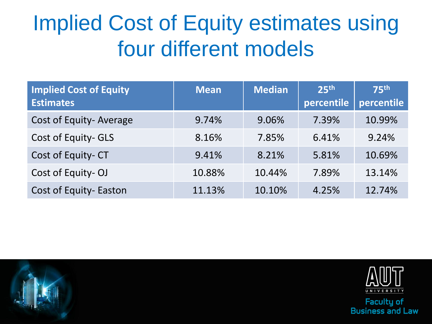# Implied Cost of Equity estimates using four different models

| <b>Implied Cost of Equity</b><br><b>Estimates</b> | <b>Mean</b> | <b>Median</b> | 25 <sup>th</sup><br>percentile | <b>75th</b><br>percentile |
|---------------------------------------------------|-------------|---------------|--------------------------------|---------------------------|
| Cost of Equity-Average                            | 9.74%       | 9.06%         | 7.39%                          | 10.99%                    |
| Cost of Equity-GLS                                | 8.16%       | 7.85%         | 6.41%                          | 9.24%                     |
| Cost of Equity-CT                                 | 9.41%       | 8.21%         | 5.81%                          | 10.69%                    |
| Cost of Equity-OJ                                 | 10.88%      | 10.44%        | 7.89%                          | 13.14%                    |
| Cost of Equity- Easton                            | 11.13%      | 10.10%        | 4.25%                          | 12.74%                    |



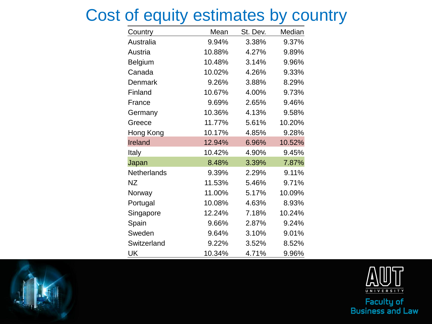#### Cost of equity estimates by country

| Country     | Mean   | St. Dev. | Median |
|-------------|--------|----------|--------|
| Australia   | 9.94%  | 3.38%    | 9.37%  |
| Austria     | 10.88% | 4.27%    | 9.89%  |
| Belgium     | 10.48% | 3.14%    | 9.96%  |
| Canada      | 10.02% | 4.26%    | 9.33%  |
| Denmark     | 9.26%  | 3.88%    | 8.29%  |
| Finland     | 10.67% | 4.00%    | 9.73%  |
| France      | 9.69%  | 2.65%    | 9.46%  |
| Germany     | 10.36% | 4.13%    | 9.58%  |
| Greece      | 11.77% | 5.61%    | 10.20% |
| Hong Kong   | 10.17% | 4.85%    | 9.28%  |
| Ireland     | 12.94% | 6.96%    | 10.52% |
| Italy       | 10.42% | 4.90%    | 9.45%  |
| Japan       | 8.48%  | 3.39%    | 7.87%  |
| Netherlands | 9.39%  | 2.29%    | 9.11%  |
| <b>NZ</b>   | 11.53% | 5.46%    | 9.71%  |
| Norway      | 11.00% | 5.17%    | 10.09% |
| Portugal    | 10.08% | 4.63%    | 8.93%  |
| Singapore   | 12.24% | 7.18%    | 10.24% |
| Spain       | 9.66%  | 2.87%    | 9.24%  |
| Sweden      | 9.64%  | 3.10%    | 9.01%  |
| Switzerland | 9.22%  | 3.52%    | 8.52%  |
| UK          | 10.34% | 4.71%    | 9.96%  |



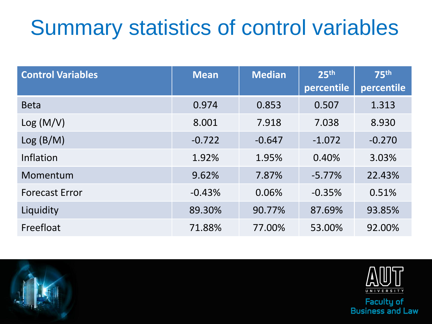# Summary statistics of control variables

| <b>Control Variables</b> | <b>Mean</b> | <b>Median</b> | 25 <sup>th</sup><br>percentile | <b>75th</b><br>percentile |
|--------------------------|-------------|---------------|--------------------------------|---------------------------|
| <b>Beta</b>              | 0.974       | 0.853         | 0.507                          | 1.313                     |
| Log (M/V)                | 8.001       | 7.918         | 7.038                          | 8.930                     |
| Log(B/M)                 | $-0.722$    | $-0.647$      | $-1.072$                       | $-0.270$                  |
| <b>Inflation</b>         | 1.92%       | 1.95%         | 0.40%                          | 3.03%                     |
| Momentum                 | 9.62%       | 7.87%         | $-5.77%$                       | 22.43%                    |
| <b>Forecast Error</b>    | $-0.43%$    | 0.06%         | $-0.35%$                       | 0.51%                     |
| Liquidity                | 89.30%      | 90.77%        | 87.69%                         | 93.85%                    |
| Freefloat                | 71.88%      | 77.00%        | 53.00%                         | 92.00%                    |



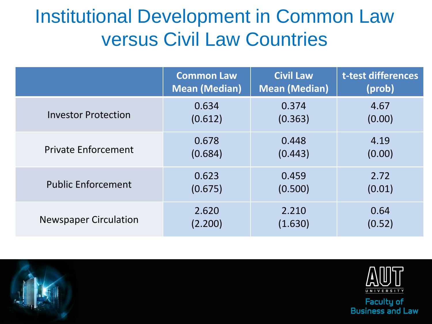### Institutional Development in Common Law versus Civil Law Countries

|                              | <b>Common Law</b>    | <b>Civil Law</b>     | t-test differences |
|------------------------------|----------------------|----------------------|--------------------|
|                              | <b>Mean (Median)</b> | <b>Mean (Median)</b> | (prob)             |
| <b>Investor Protection</b>   | 0.634                | 0.374                | 4.67               |
|                              | (0.612)              | (0.363)              | (0.00)             |
| <b>Private Enforcement</b>   | 0.678                | 0.448                | 4.19               |
|                              | (0.684)              | (0.443)              | (0.00)             |
| <b>Public Enforcement</b>    | 0.623                | 0.459                | 2.72               |
|                              | (0.675)              | (0.500)              | (0.01)             |
| <b>Newspaper Circulation</b> | 2.620                | 2.210                | 0.64               |
|                              | (2.200)              | (1.630)              | (0.52)             |



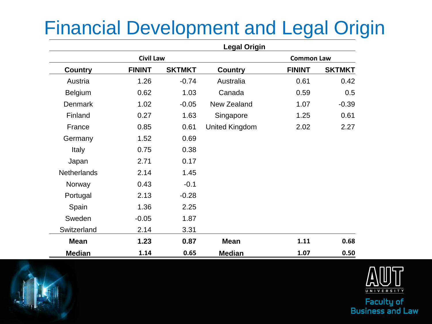### Financial Development and Legal Origin

|                    |                  |               | <b>Legal Origin</b> |                   |               |
|--------------------|------------------|---------------|---------------------|-------------------|---------------|
|                    | <b>Civil Law</b> |               |                     | <b>Common Law</b> |               |
| <b>Country</b>     | <b>FININT</b>    | <b>SKTMKT</b> | <b>Country</b>      | <b>FININT</b>     | <b>SKTMKT</b> |
| Austria            | 1.26             | $-0.74$       | Australia           | 0.61              | 0.42          |
| Belgium            | 0.62             | 1.03          | Canada              | 0.59              | 0.5           |
| <b>Denmark</b>     | 1.02             | $-0.05$       | New Zealand         | 1.07              | $-0.39$       |
| Finland            | 0.27             | 1.63          | Singapore           | 1.25              | 0.61          |
| France             | 0.85             | 0.61          | United Kingdom      | 2.02              | 2.27          |
| Germany            | 1.52             | 0.69          |                     |                   |               |
| Italy              | 0.75             | 0.38          |                     |                   |               |
| Japan              | 2.71             | 0.17          |                     |                   |               |
| <b>Netherlands</b> | 2.14             | 1.45          |                     |                   |               |
| Norway             | 0.43             | $-0.1$        |                     |                   |               |
| Portugal           | 2.13             | $-0.28$       |                     |                   |               |
| Spain              | 1.36             | 2.25          |                     |                   |               |
| Sweden             | $-0.05$          | 1.87          |                     |                   |               |
| Switzerland        | 2.14             | 3.31          |                     |                   |               |
| <b>Mean</b>        | 1.23             | 0.87          | <b>Mean</b>         | 1.11              | 0.68          |
| <b>Median</b>      | 1.14             | 0.65          | <b>Median</b>       | 1.07              | 0.50          |

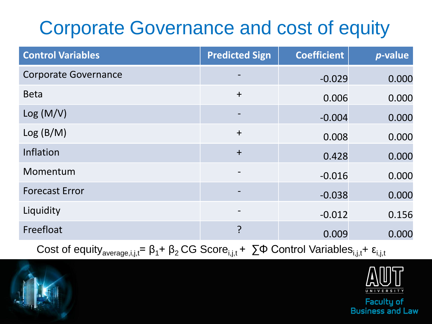### Corporate Governance and cost of equity

| <b>Control Variables</b>    | <b>Predicted Sign</b> | <b>Coefficient</b> | <i>p</i> -value |
|-----------------------------|-----------------------|--------------------|-----------------|
| <b>Corporate Governance</b> |                       | $-0.029$           | 0.000           |
| <b>Beta</b>                 | $+$                   | 0.006              | 0.000           |
| Log (M/V)                   |                       | $-0.004$           | 0.000           |
| Log(B/M)                    | $\ddot{}$             | 0.008              | 0.000           |
| Inflation                   | $+$                   | 0.428              | 0.000           |
| Momentum                    |                       | $-0.016$           | 0.000           |
| <b>Forecast Error</b>       |                       | $-0.038$           | 0.000           |
| Liquidity                   |                       | $-0.012$           | 0.156           |
| Freefloat                   | ?                     | 0.009              | 0.000           |

Cost of equity<sub>average,i,j,t</sub> =  $\beta_1$ +  $\beta_2$  CG Score<sub>i,j,t</sub> +  $\sum$ Φ Control Variables<sub>i,j,t</sub> +  $\epsilon_{i,j,t}$ 

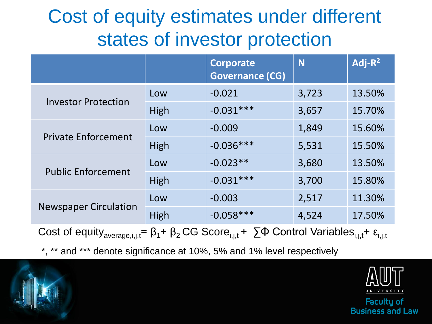### Cost of equity estimates under different states of investor protection

|                                                                                                                                                                  |             | Corporate<br><b>Governance (CG)</b> | N     | $Adj-R2$ |  |
|------------------------------------------------------------------------------------------------------------------------------------------------------------------|-------------|-------------------------------------|-------|----------|--|
|                                                                                                                                                                  | Low         | $-0.021$                            | 3,723 | 13.50%   |  |
| <b>Investor Protection</b>                                                                                                                                       | <b>High</b> | $-0.031***$                         | 3,657 | 15.70%   |  |
| <b>Private Enforcement</b>                                                                                                                                       | Low         | $-0.009$                            | 1,849 | 15.60%   |  |
|                                                                                                                                                                  | High        | $-0.036***$                         | 5,531 | 15.50%   |  |
| <b>Public Enforcement</b>                                                                                                                                        | Low         | $-0.023**$                          | 3,680 | 13.50%   |  |
|                                                                                                                                                                  | High        | $-0.031***$                         | 3,700 | 15.80%   |  |
| <b>Newspaper Circulation</b>                                                                                                                                     | Low         | $-0.003$                            | 2,517 | 11.30%   |  |
|                                                                                                                                                                  | High        | $-0.058***$                         | 4,524 | 17.50%   |  |
| Cost of equity <sub>average, i, j,t</sub> = $\beta_1$ + $\beta_2$ CG Score <sub>i, j,t</sub> + $\sum$ Φ Control Variables <sub>i, j,t</sub> + $\epsilon_{i,j,t}$ |             |                                     |       |          |  |

\*, \*\* and \*\*\* denote significance at 10%, 5% and 1% level respectively

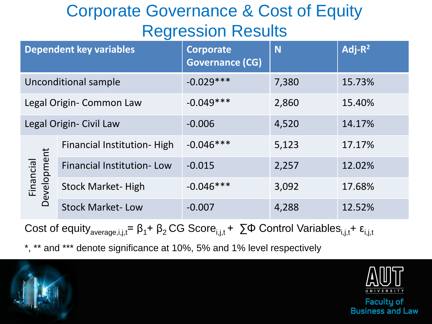#### Corporate Governance & Cost of Equity Regression Results

| <b>Dependent key variables</b> |                                  | <b>Corporate</b><br><b>Governance (CG)</b> | N     | $Adj-R2$ |
|--------------------------------|----------------------------------|--------------------------------------------|-------|----------|
| Unconditional sample           |                                  | $-0.029***$                                | 7,380 | 15.73%   |
| Legal Origin- Common Law       |                                  | $-0.049***$                                | 2,860 | 15.40%   |
| Legal Origin- Civil Law        |                                  | $-0.006$                                   | 4,520 | 14.17%   |
| Development<br>Financial       | Financial Institution-High       | $-0.046***$                                | 5,123 | 17.17%   |
|                                | <b>Financial Institution-Low</b> | $-0.015$                                   | 2,257 | 12.02%   |
|                                | <b>Stock Market-High</b>         | $-0.046***$                                | 3,092 | 17.68%   |
|                                | <b>Stock Market-Low</b>          | $-0.007$                                   | 4,288 | 12.52%   |

Cost of equity<sub>average,i,j,t</sub>=  $\beta_1$ +  $\beta_2$ CG Score<sub>i,j,t</sub> +  $\sum$ Φ Control Variables<sub>i,j,t</sub>+  $\epsilon_{i,j,t}$ 

\*, \*\* and \*\*\* denote significance at 10%, 5% and 1% level respectively



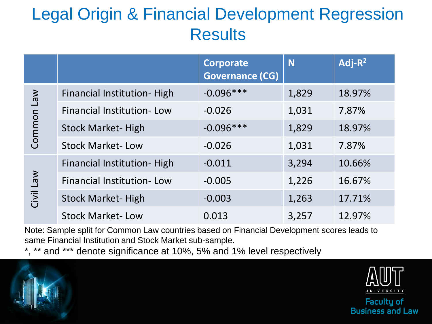#### Legal Origin & Financial Development Regression **Results**

|            |                                    | <b>Corporate</b><br><b>Governance (CG)</b> | N     | Adj- $R^2$ |
|------------|------------------------------------|--------------------------------------------|-------|------------|
|            | Financial Institution-High         | $-0.096***$                                | 1,829 | 18.97%     |
|            | <b>Financial Institution-Low</b>   | $-0.026$                                   | 1,031 | 7.87%      |
| Common Law | <b>Stock Market-High</b>           | $-0.096***$                                | 1,829 | 18.97%     |
|            | <b>Stock Market-Low</b>            | $-0.026$                                   | 1,031 | 7.87%      |
| Civil Law  | <b>Financial Institution- High</b> | $-0.011$                                   | 3,294 | 10.66%     |
|            | <b>Financial Institution-Low</b>   | $-0.005$                                   | 1,226 | 16.67%     |
|            | <b>Stock Market-High</b>           | $-0.003$                                   | 1,263 | 17.71%     |
|            | <b>Stock Market-Low</b>            | 0.013                                      | 3,257 | 12.97%     |

Note: Sample split for Common Law countries based on Financial Development scores leads to same Financial Institution and Stock Market sub-sample.

\*, \*\* and \*\*\* denote significance at 10%, 5% and 1% level respectively



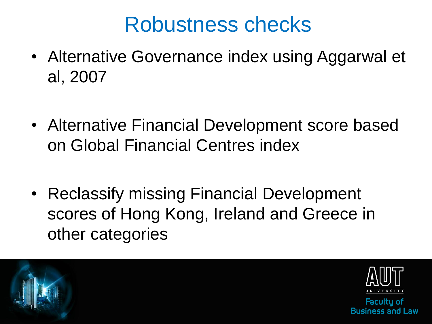## Robustness checks

- Alternative Governance index using Aggarwal et al, 2007
- Alternative Financial Development score based on Global Financial Centres index
- Reclassify missing Financial Development scores of Hong Kong, Ireland and Greece in other categories

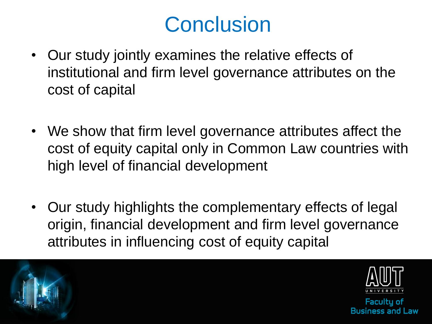# **Conclusion**

- Our study jointly examines the relative effects of institutional and firm level governance attributes on the cost of capital
- We show that firm level governance attributes affect the cost of equity capital only in Common Law countries with high level of financial development
- Our study highlights the complementary effects of legal origin, financial development and firm level governance attributes in influencing cost of equity capital





**Facultu of** we I hoe 22an